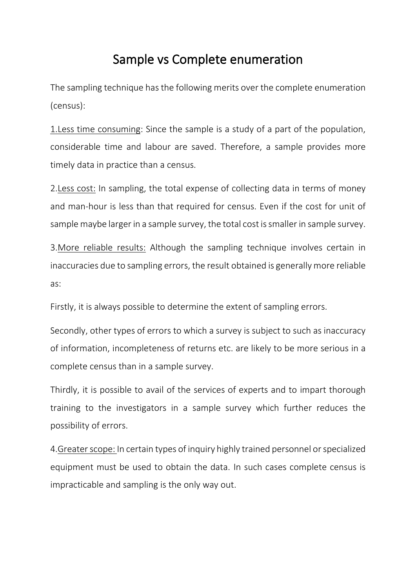## Sample vs Complete enumeration

The sampling technique has the following merits over the complete enumeration (census):

1.Less time consuming: Since the sample is a study of a part of the population, considerable time and labour are saved. Therefore, a sample provides more timely data in practice than a census.

2.Less cost: In sampling, the total expense of collecting data in terms of money and man-hour is less than that required for census. Even if the cost for unit of sample maybe larger in a sample survey, the total cost is smaller in sample survey.

3.More reliable results: Although the sampling technique involves certain in inaccuracies due to sampling errors, the result obtained is generally more reliable as:

Firstly, it is always possible to determine the extent of sampling errors.

Secondly, other types of errors to which a survey is subject to such as inaccuracy of information, incompleteness of returns etc. are likely to be more serious in a complete census than in a sample survey.

Thirdly, it is possible to avail of the services of experts and to impart thorough training to the investigators in a sample survey which further reduces the possibility of errors.

4.Greater scope: In certain types of inquiry highly trained personnel or specialized equipment must be used to obtain the data. In such cases complete census is impracticable and sampling is the only way out.